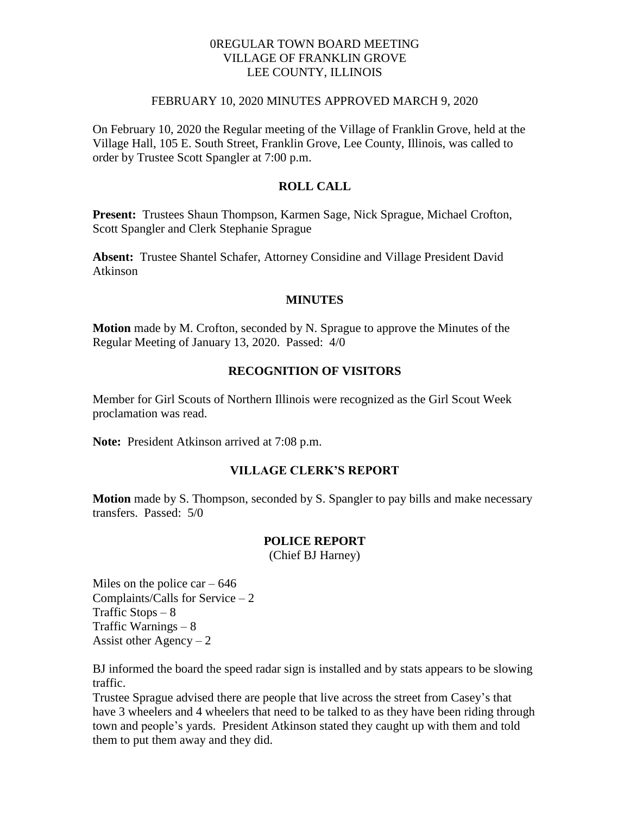## 0REGULAR TOWN BOARD MEETING VILLAGE OF FRANKLIN GROVE LEE COUNTY, ILLINOIS

#### FEBRUARY 10, 2020 MINUTES APPROVED MARCH 9, 2020

On February 10, 2020 the Regular meeting of the Village of Franklin Grove, held at the Village Hall, 105 E. South Street, Franklin Grove, Lee County, Illinois, was called to order by Trustee Scott Spangler at 7:00 p.m.

## **ROLL CALL**

**Present:** Trustees Shaun Thompson, Karmen Sage, Nick Sprague, Michael Crofton, Scott Spangler and Clerk Stephanie Sprague

**Absent:** Trustee Shantel Schafer, Attorney Considine and Village President David Atkinson

#### **MINUTES**

**Motion** made by M. Crofton, seconded by N. Sprague to approve the Minutes of the Regular Meeting of January 13, 2020. Passed: 4/0

#### **RECOGNITION OF VISITORS**

Member for Girl Scouts of Northern Illinois were recognized as the Girl Scout Week proclamation was read.

**Note:** President Atkinson arrived at 7:08 p.m.

#### **VILLAGE CLERK'S REPORT**

**Motion** made by S. Thompson, seconded by S. Spangler to pay bills and make necessary transfers. Passed: 5/0

#### **POLICE REPORT**

(Chief BJ Harney)

Miles on the police car  $-646$ Complaints/Calls for Service – 2 Traffic Stops  $-8$ Traffic Warnings – 8 Assist other  $Agency - 2$ 

BJ informed the board the speed radar sign is installed and by stats appears to be slowing traffic.

Trustee Sprague advised there are people that live across the street from Casey's that have 3 wheelers and 4 wheelers that need to be talked to as they have been riding through town and people's yards. President Atkinson stated they caught up with them and told them to put them away and they did.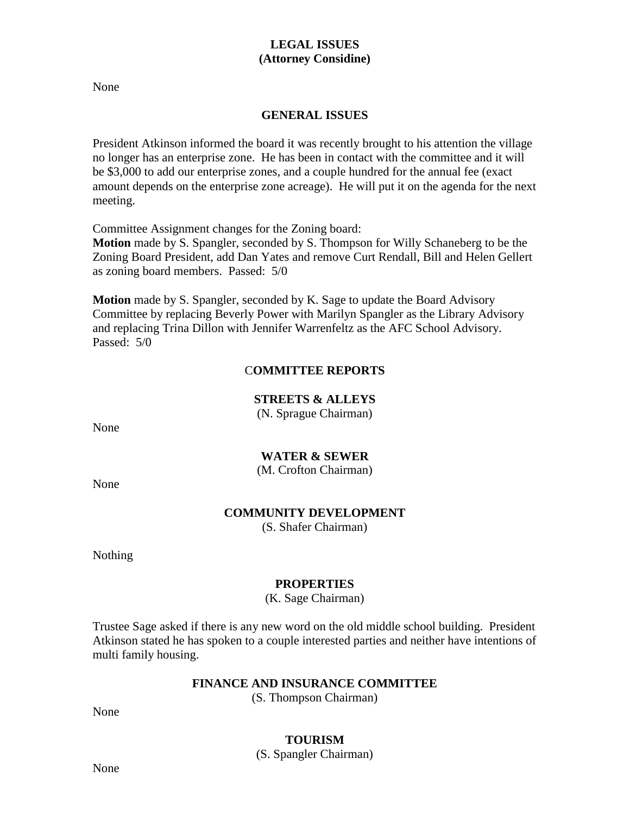# **LEGAL ISSUES (Attorney Considine)**

None

## **GENERAL ISSUES**

President Atkinson informed the board it was recently brought to his attention the village no longer has an enterprise zone. He has been in contact with the committee and it will be \$3,000 to add our enterprise zones, and a couple hundred for the annual fee (exact amount depends on the enterprise zone acreage). He will put it on the agenda for the next meeting.

Committee Assignment changes for the Zoning board:

**Motion** made by S. Spangler, seconded by S. Thompson for Willy Schaneberg to be the Zoning Board President, add Dan Yates and remove Curt Rendall, Bill and Helen Gellert as zoning board members. Passed: 5/0

**Motion** made by S. Spangler, seconded by K. Sage to update the Board Advisory Committee by replacing Beverly Power with Marilyn Spangler as the Library Advisory and replacing Trina Dillon with Jennifer Warrenfeltz as the AFC School Advisory. Passed: 5/0

# C**OMMITTEE REPORTS**

**STREETS & ALLEYS**

(N. Sprague Chairman)

None

# **WATER & SEWER**

(M. Crofton Chairman)

None

## **COMMUNITY DEVELOPMENT**

(S. Shafer Chairman)

Nothing

## **PROPERTIES**

(K. Sage Chairman)

Trustee Sage asked if there is any new word on the old middle school building. President Atkinson stated he has spoken to a couple interested parties and neither have intentions of multi family housing.

## **FINANCE AND INSURANCE COMMITTEE**

(S. Thompson Chairman)

None

## **TOURISM**

(S. Spangler Chairman)

None